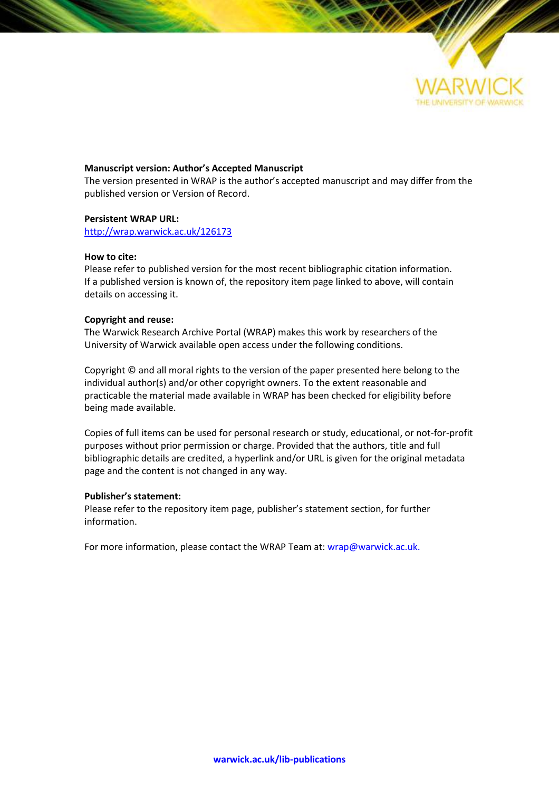

### **Manuscript version: Author's Accepted Manuscript**

The version presented in WRAP is the author's accepted manuscript and may differ from the published version or Version of Record.

### **Persistent WRAP URL:**

<http://wrap.warwick.ac.uk/126173>

### **How to cite:**

Please refer to published version for the most recent bibliographic citation information. If a published version is known of, the repository item page linked to above, will contain details on accessing it.

### **Copyright and reuse:**

The Warwick Research Archive Portal (WRAP) makes this work by researchers of the University of Warwick available open access under the following conditions.

Copyright © and all moral rights to the version of the paper presented here belong to the individual author(s) and/or other copyright owners. To the extent reasonable and practicable the material made available in WRAP has been checked for eligibility before being made available.

Copies of full items can be used for personal research or study, educational, or not-for-profit purposes without prior permission or charge. Provided that the authors, title and full bibliographic details are credited, a hyperlink and/or URL is given for the original metadata page and the content is not changed in any way.

### **Publisher's statement:**

Please refer to the repository item page, publisher's statement section, for further information.

For more information, please contact the WRAP Team at[: wrap@warwick.ac.uk.](mailto:wrap@warwick.ac.uk)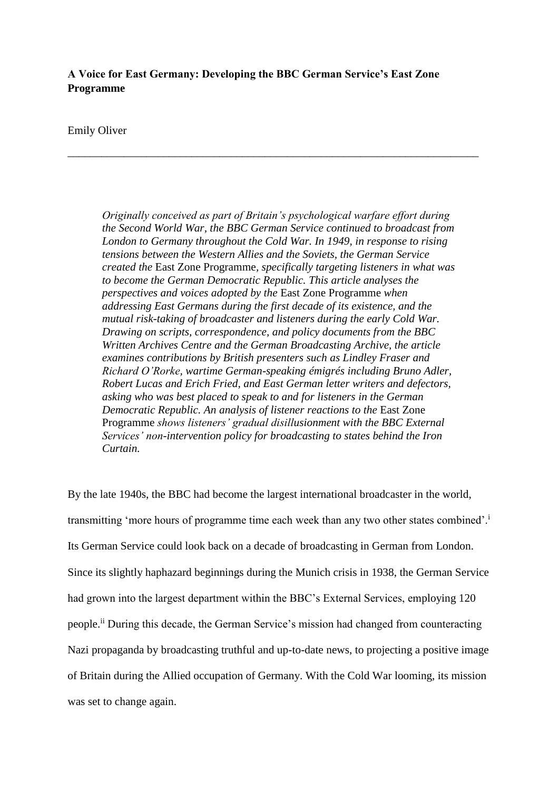# **A Voice for East Germany: Developing the BBC German Service's East Zone Programme**

\_\_\_\_\_\_\_\_\_\_\_\_\_\_\_\_\_\_\_\_\_\_\_\_\_\_\_\_\_\_\_\_\_\_\_\_\_\_\_\_\_\_\_\_\_\_\_\_\_\_\_\_\_\_\_\_\_\_\_\_\_\_\_\_\_\_\_\_\_\_\_\_\_

## Emily Oliver

*Originally conceived as part of Britain's psychological warfare effort during the Second World War, the BBC German Service continued to broadcast from London to Germany throughout the Cold War. In 1949, in response to rising tensions between the Western Allies and the Soviets, the German Service created the* East Zone Programme*, specifically targeting listeners in what was to become the German Democratic Republic. This article analyses the perspectives and voices adopted by the* East Zone Programme *when addressing East Germans during the first decade of its existence, and the mutual risk-taking of broadcaster and listeners during the early Cold War. Drawing on scripts, correspondence, and policy documents from the BBC Written Archives Centre and the German Broadcasting Archive, the article examines contributions by British presenters such as Lindley Fraser and Richard O'Rorke, wartime German-speaking émigrés including Bruno Adler, Robert Lucas and Erich Fried, and East German letter writers and defectors, asking who was best placed to speak to and for listeners in the German Democratic Republic. An analysis of listener reactions to the* East Zone Programme *shows listeners' gradual disillusionment with the BBC External Services' non-intervention policy for broadcasting to states behind the Iron Curtain.*

By the late 1940s, the BBC had become the largest international broadcaster in the world, transmitting 'more hours of programme time each week than any two other states combined'.<sup>i</sup> Its German Service could look back on a decade of broadcasting in German from London. Since its slightly haphazard beginnings during the Munich crisis in 1938, the German Service had grown into the largest department within the BBC's External Services, employing 120 people.ii During this decade, the German Service's mission had changed from counteracting Nazi propaganda by broadcasting truthful and up-to-date news, to projecting a positive image of Britain during the Allied occupation of Germany. With the Cold War looming, its mission was set to change again.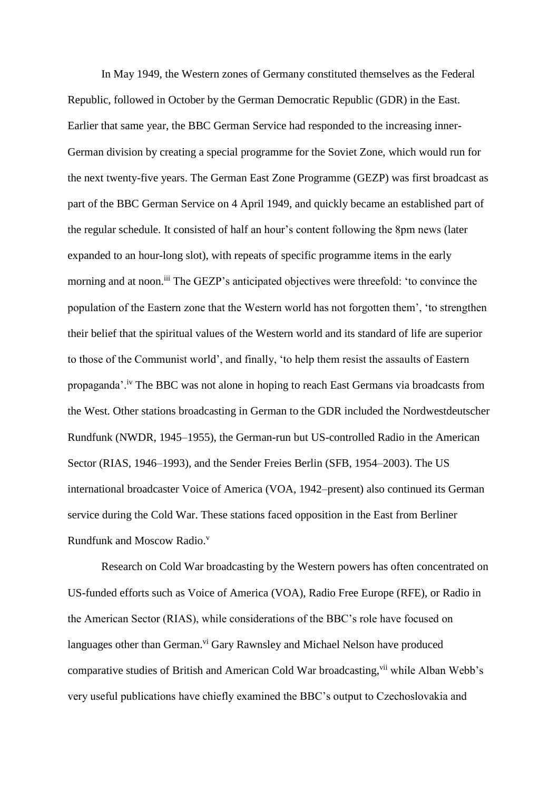In May 1949, the Western zones of Germany constituted themselves as the Federal Republic, followed in October by the German Democratic Republic (GDR) in the East. Earlier that same year, the BBC German Service had responded to the increasing inner-German division by creating a special programme for the Soviet Zone, which would run for the next twenty-five years. The German East Zone Programme (GEZP) was first broadcast as part of the BBC German Service on 4 April 1949, and quickly became an established part of the regular schedule. It consisted of half an hour's content following the 8pm news (later expanded to an hour-long slot), with repeats of specific programme items in the early morning and at noon.<sup>iii</sup> The GEZP's anticipated objectives were threefold: 'to convince the population of the Eastern zone that the Western world has not forgotten them', 'to strengthen their belief that the spiritual values of the Western world and its standard of life are superior to those of the Communist world', and finally, 'to help them resist the assaults of Eastern propaganda'.<sup>iv</sup> The BBC was not alone in hoping to reach East Germans via broadcasts from the West. Other stations broadcasting in German to the GDR included the Nordwestdeutscher Rundfunk (NWDR, 1945–1955), the German-run but US-controlled Radio in the American Sector (RIAS, 1946–1993), and the Sender Freies Berlin (SFB, 1954–2003). The US international broadcaster Voice of America (VOA, 1942–present) also continued its German service during the Cold War. These stations faced opposition in the East from Berliner Rundfunk and Moscow Radio.<sup>v</sup>

Research on Cold War broadcasting by the Western powers has often concentrated on US-funded efforts such as Voice of America (VOA), Radio Free Europe (RFE), or Radio in the American Sector (RIAS), while considerations of the BBC's role have focused on languages other than German.<sup>vi</sup> Gary Rawnsley and Michael Nelson have produced comparative studies of British and American Cold War broadcasting, via while Alban Webb's very useful publications have chiefly examined the BBC's output to Czechoslovakia and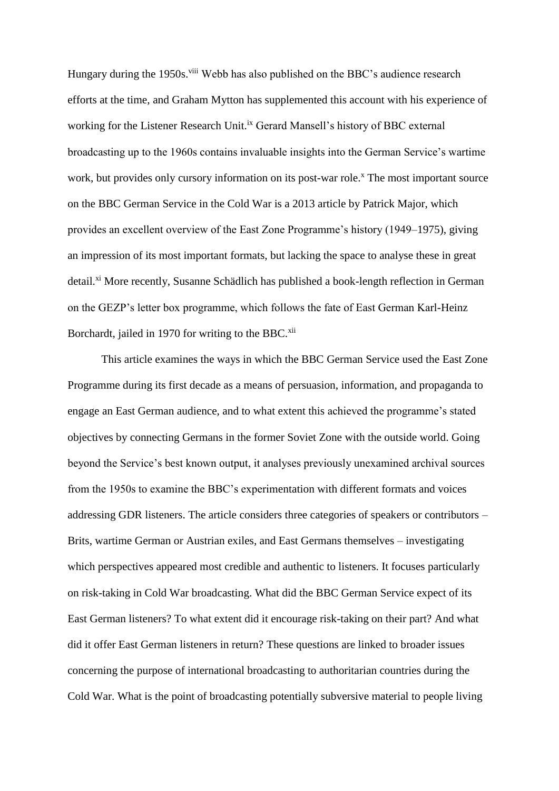Hungary during the 1950s.<sup>viii</sup> Webb has also published on the BBC's audience research efforts at the time, and Graham Mytton has supplemented this account with his experience of working for the Listener Research Unit.<sup>ix</sup> Gerard Mansell's history of BBC external broadcasting up to the 1960s contains invaluable insights into the German Service's wartime work, but provides only cursory information on its post-war role.<sup>x</sup> The most important source on the BBC German Service in the Cold War is a 2013 article by Patrick Major, which provides an excellent overview of the East Zone Programme's history (1949–1975), giving an impression of its most important formats, but lacking the space to analyse these in great detail.<sup>xi</sup> More recently, Susanne Schädlich has published a book-length reflection in German on the GEZP's letter box programme, which follows the fate of East German Karl-Heinz Borchardt, jailed in 1970 for writing to the BBC.<sup>xii</sup>

This article examines the ways in which the BBC German Service used the East Zone Programme during its first decade as a means of persuasion, information, and propaganda to engage an East German audience, and to what extent this achieved the programme's stated objectives by connecting Germans in the former Soviet Zone with the outside world. Going beyond the Service's best known output, it analyses previously unexamined archival sources from the 1950s to examine the BBC's experimentation with different formats and voices addressing GDR listeners. The article considers three categories of speakers or contributors – Brits, wartime German or Austrian exiles, and East Germans themselves – investigating which perspectives appeared most credible and authentic to listeners. It focuses particularly on risk-taking in Cold War broadcasting. What did the BBC German Service expect of its East German listeners? To what extent did it encourage risk-taking on their part? And what did it offer East German listeners in return? These questions are linked to broader issues concerning the purpose of international broadcasting to authoritarian countries during the Cold War. What is the point of broadcasting potentially subversive material to people living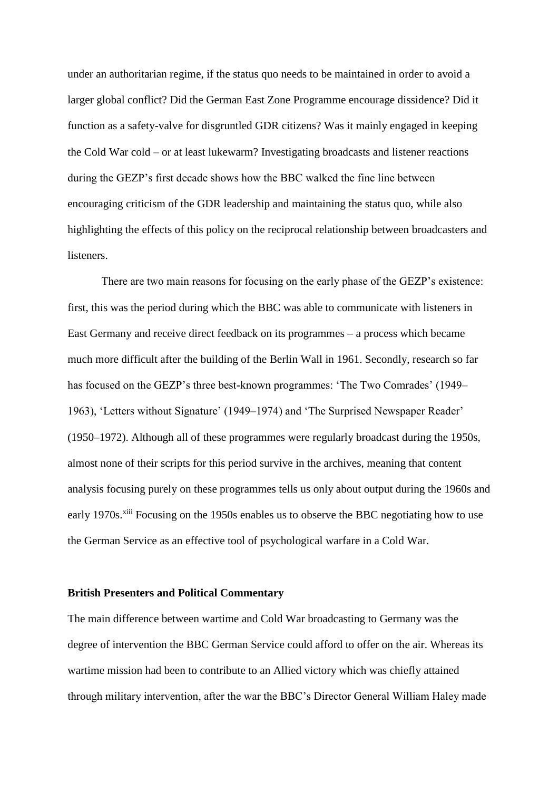under an authoritarian regime, if the status quo needs to be maintained in order to avoid a larger global conflict? Did the German East Zone Programme encourage dissidence? Did it function as a safety-valve for disgruntled GDR citizens? Was it mainly engaged in keeping the Cold War cold – or at least lukewarm? Investigating broadcasts and listener reactions during the GEZP's first decade shows how the BBC walked the fine line between encouraging criticism of the GDR leadership and maintaining the status quo, while also highlighting the effects of this policy on the reciprocal relationship between broadcasters and listeners.

There are two main reasons for focusing on the early phase of the GEZP's existence: first, this was the period during which the BBC was able to communicate with listeners in East Germany and receive direct feedback on its programmes – a process which became much more difficult after the building of the Berlin Wall in 1961. Secondly, research so far has focused on the GEZP's three best-known programmes: 'The Two Comrades' (1949– 1963), 'Letters without Signature' (1949–1974) and 'The Surprised Newspaper Reader' (1950–1972). Although all of these programmes were regularly broadcast during the 1950s, almost none of their scripts for this period survive in the archives, meaning that content analysis focusing purely on these programmes tells us only about output during the 1960s and early 1970s.<sup>xiii</sup> Focusing on the 1950s enables us to observe the BBC negotiating how to use the German Service as an effective tool of psychological warfare in a Cold War.

### **British Presenters and Political Commentary**

The main difference between wartime and Cold War broadcasting to Germany was the degree of intervention the BBC German Service could afford to offer on the air. Whereas its wartime mission had been to contribute to an Allied victory which was chiefly attained through military intervention, after the war the BBC's Director General William Haley made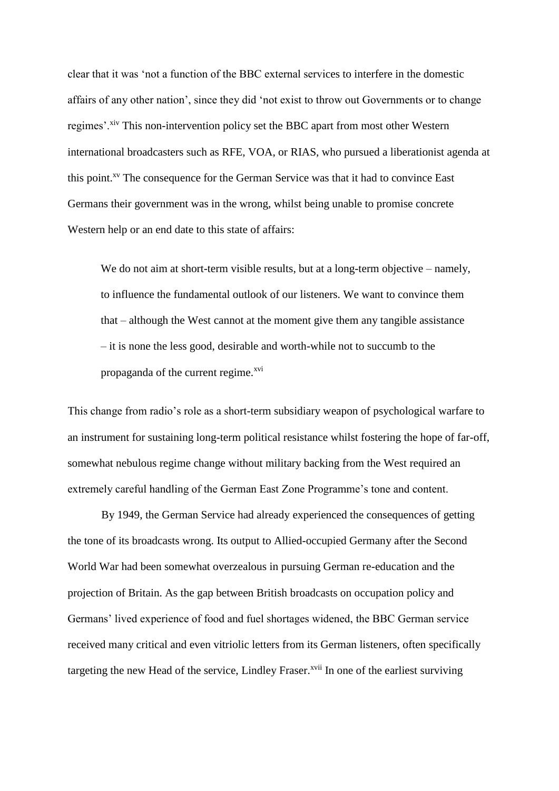clear that it was 'not a function of the BBC external services to interfere in the domestic affairs of any other nation', since they did 'not exist to throw out Governments or to change regimes'.<sup>xiv</sup> This non-intervention policy set the BBC apart from most other Western international broadcasters such as RFE, VOA, or RIAS, who pursued a liberationist agenda at this point.<sup>xv</sup> The consequence for the German Service was that it had to convince East Germans their government was in the wrong, whilst being unable to promise concrete Western help or an end date to this state of affairs:

We do not aim at short-term visible results, but at a long-term objective – namely, to influence the fundamental outlook of our listeners. We want to convince them that – although the West cannot at the moment give them any tangible assistance – it is none the less good, desirable and worth-while not to succumb to the propaganda of the current regime. $x<sup>vi</sup>$ 

This change from radio's role as a short-term subsidiary weapon of psychological warfare to an instrument for sustaining long-term political resistance whilst fostering the hope of far-off, somewhat nebulous regime change without military backing from the West required an extremely careful handling of the German East Zone Programme's tone and content.

By 1949, the German Service had already experienced the consequences of getting the tone of its broadcasts wrong. Its output to Allied-occupied Germany after the Second World War had been somewhat overzealous in pursuing German re-education and the projection of Britain. As the gap between British broadcasts on occupation policy and Germans' lived experience of food and fuel shortages widened, the BBC German service received many critical and even vitriolic letters from its German listeners, often specifically targeting the new Head of the service, Lindley Fraser.<sup>xvii</sup> In one of the earliest surviving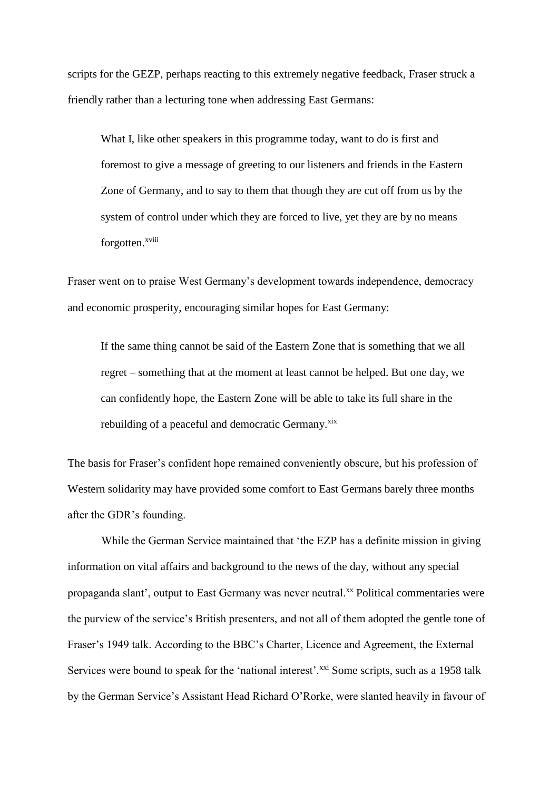scripts for the GEZP, perhaps reacting to this extremely negative feedback, Fraser struck a friendly rather than a lecturing tone when addressing East Germans:

What I, like other speakers in this programme today, want to do is first and foremost to give a message of greeting to our listeners and friends in the Eastern Zone of Germany, and to say to them that though they are cut off from us by the system of control under which they are forced to live, yet they are by no means forgotten.<sup>xviii</sup>

Fraser went on to praise West Germany's development towards independence, democracy and economic prosperity, encouraging similar hopes for East Germany:

If the same thing cannot be said of the Eastern Zone that is something that we all regret – something that at the moment at least cannot be helped. But one day, we can confidently hope, the Eastern Zone will be able to take its full share in the rebuilding of a peaceful and democratic Germany.<sup>xix</sup>

The basis for Fraser's confident hope remained conveniently obscure, but his profession of Western solidarity may have provided some comfort to East Germans barely three months after the GDR's founding.

While the German Service maintained that 'the EZP has a definite mission in giving information on vital affairs and background to the news of the day, without any special propaganda slant', output to East Germany was never neutral.xx Political commentaries were the purview of the service's British presenters, and not all of them adopted the gentle tone of Fraser's 1949 talk. According to the BBC's Charter, Licence and Agreement, the External Services were bound to speak for the 'national interest'.<sup>xxi</sup> Some scripts, such as a 1958 talk by the German Service's Assistant Head Richard O'Rorke, were slanted heavily in favour of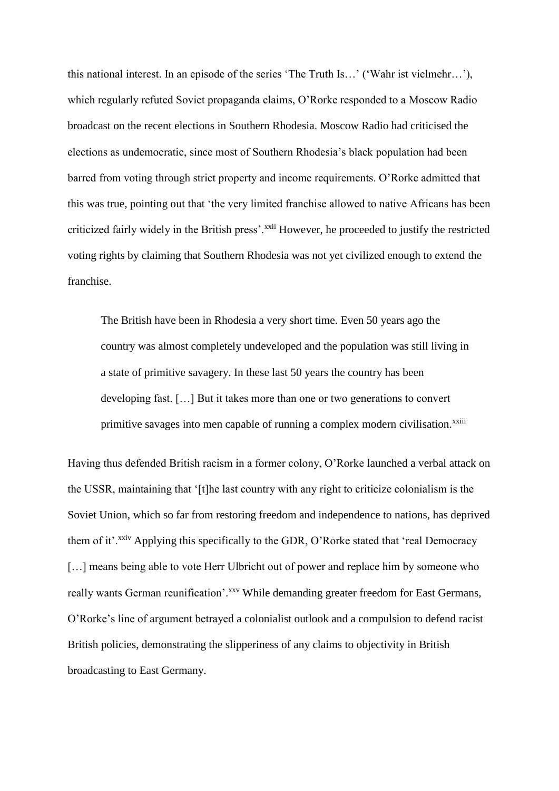this national interest. In an episode of the series 'The Truth Is…' ('Wahr ist vielmehr…'), which regularly refuted Soviet propaganda claims, O'Rorke responded to a Moscow Radio broadcast on the recent elections in Southern Rhodesia. Moscow Radio had criticised the elections as undemocratic, since most of Southern Rhodesia's black population had been barred from voting through strict property and income requirements. O'Rorke admitted that this was true, pointing out that 'the very limited franchise allowed to native Africans has been criticized fairly widely in the British press'.<sup>xxii</sup> However, he proceeded to justify the restricted voting rights by claiming that Southern Rhodesia was not yet civilized enough to extend the franchise.

The British have been in Rhodesia a very short time. Even 50 years ago the country was almost completely undeveloped and the population was still living in a state of primitive savagery. In these last 50 years the country has been developing fast. […] But it takes more than one or two generations to convert primitive savages into men capable of running a complex modern civilisation.<sup>xxiii</sup>

Having thus defended British racism in a former colony, O'Rorke launched a verbal attack on the USSR, maintaining that '[t]he last country with any right to criticize colonialism is the Soviet Union, which so far from restoring freedom and independence to nations, has deprived them of it'.<sup>xxiv</sup> Applying this specifically to the GDR, O'Rorke stated that 'real Democracy [...] means being able to vote Herr Ulbricht out of power and replace him by someone who really wants German reunification'.<sup>xxv</sup> While demanding greater freedom for East Germans, O'Rorke's line of argument betrayed a colonialist outlook and a compulsion to defend racist British policies, demonstrating the slipperiness of any claims to objectivity in British broadcasting to East Germany.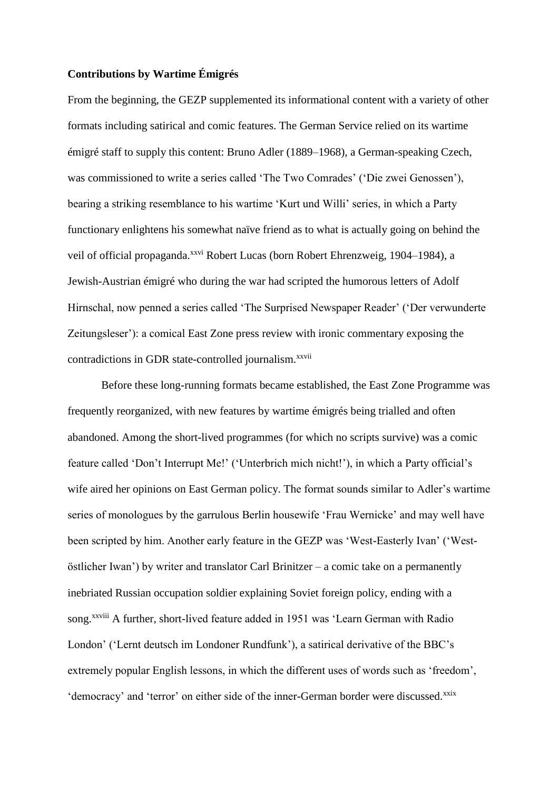# **Contributions by Wartime Émigrés**

From the beginning, the GEZP supplemented its informational content with a variety of other formats including satirical and comic features. The German Service relied on its wartime émigré staff to supply this content: Bruno Adler (1889–1968), a German-speaking Czech, was commissioned to write a series called 'The Two Comrades' ('Die zwei Genossen'), bearing a striking resemblance to his wartime 'Kurt und Willi' series, in which a Party functionary enlightens his somewhat naïve friend as to what is actually going on behind the veil of official propaganda.<sup>xxvi</sup> Robert Lucas (born Robert Ehrenzweig, 1904–1984), a Jewish-Austrian émigré who during the war had scripted the humorous letters of Adolf Hirnschal, now penned a series called 'The Surprised Newspaper Reader' ('Der verwunderte Zeitungsleser'): a comical East Zone press review with ironic commentary exposing the contradictions in GDR state-controlled journalism.<sup>xxvii</sup>

Before these long-running formats became established, the East Zone Programme was frequently reorganized, with new features by wartime émigrés being trialled and often abandoned. Among the short-lived programmes (for which no scripts survive) was a comic feature called 'Don't Interrupt Me!' ('Unterbrich mich nicht!'), in which a Party official's wife aired her opinions on East German policy. The format sounds similar to Adler's wartime series of monologues by the garrulous Berlin housewife 'Frau Wernicke' and may well have been scripted by him. Another early feature in the GEZP was 'West-Easterly Ivan' ('Westöstlicher Iwan') by writer and translator Carl Brinitzer – a comic take on a permanently inebriated Russian occupation soldier explaining Soviet foreign policy, ending with a song.<sup>xxviii</sup> A further, short-lived feature added in 1951 was 'Learn German with Radio London' ('Lernt deutsch im Londoner Rundfunk'), a satirical derivative of the BBC's extremely popular English lessons, in which the different uses of words such as 'freedom', 'democracy' and 'terror' on either side of the inner-German border were discussed.<sup>xxix</sup>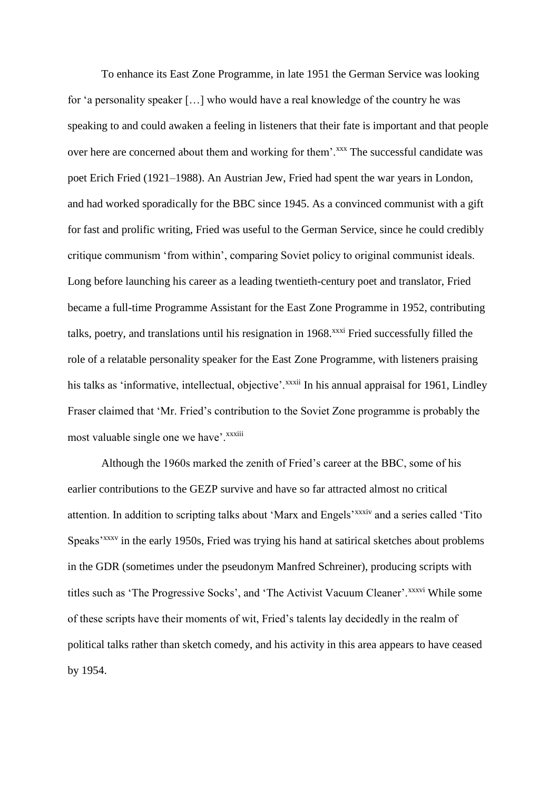To enhance its East Zone Programme, in late 1951 the German Service was looking for 'a personality speaker […] who would have a real knowledge of the country he was speaking to and could awaken a feeling in listeners that their fate is important and that people over here are concerned about them and working for them'.<sup>xxx</sup> The successful candidate was poet Erich Fried (1921–1988). An Austrian Jew, Fried had spent the war years in London, and had worked sporadically for the BBC since 1945. As a convinced communist with a gift for fast and prolific writing, Fried was useful to the German Service, since he could credibly critique communism 'from within', comparing Soviet policy to original communist ideals. Long before launching his career as a leading twentieth-century poet and translator, Fried became a full-time Programme Assistant for the East Zone Programme in 1952, contributing talks, poetry, and translations until his resignation in 1968.<sup>xxxi</sup> Fried successfully filled the role of a relatable personality speaker for the East Zone Programme, with listeners praising his talks as 'informative, intellectual, objective'.<sup>xxxii</sup> In his annual appraisal for 1961, Lindley Fraser claimed that 'Mr. Fried's contribution to the Soviet Zone programme is probably the most valuable single one we have'.<sup>xxxiii</sup>

Although the 1960s marked the zenith of Fried's career at the BBC, some of his earlier contributions to the GEZP survive and have so far attracted almost no critical attention. In addition to scripting talks about 'Marx and Engels'xxxiv and a series called 'Tito Speaks'xxxv in the early 1950s, Fried was trying his hand at satirical sketches about problems in the GDR (sometimes under the pseudonym Manfred Schreiner), producing scripts with titles such as 'The Progressive Socks', and 'The Activist Vacuum Cleaner'.<sup>xxxvi</sup> While some of these scripts have their moments of wit, Fried's talents lay decidedly in the realm of political talks rather than sketch comedy, and his activity in this area appears to have ceased by 1954.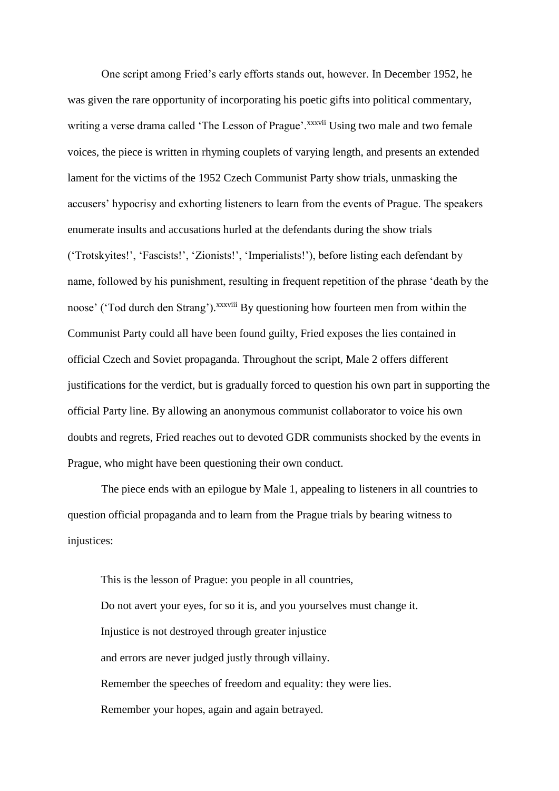One script among Fried's early efforts stands out, however. In December 1952, he was given the rare opportunity of incorporating his poetic gifts into political commentary, writing a verse drama called 'The Lesson of Prague'.<sup>xxxvii</sup> Using two male and two female voices, the piece is written in rhyming couplets of varying length, and presents an extended lament for the victims of the 1952 Czech Communist Party show trials, unmasking the accusers' hypocrisy and exhorting listeners to learn from the events of Prague. The speakers enumerate insults and accusations hurled at the defendants during the show trials ('Trotskyites!', 'Fascists!', 'Zionists!', 'Imperialists!'), before listing each defendant by name, followed by his punishment, resulting in frequent repetition of the phrase 'death by the noose' ('Tod durch den Strang'). XXXViii By questioning how fourteen men from within the Communist Party could all have been found guilty, Fried exposes the lies contained in official Czech and Soviet propaganda. Throughout the script, Male 2 offers different justifications for the verdict, but is gradually forced to question his own part in supporting the official Party line. By allowing an anonymous communist collaborator to voice his own doubts and regrets, Fried reaches out to devoted GDR communists shocked by the events in Prague, who might have been questioning their own conduct.

The piece ends with an epilogue by Male 1, appealing to listeners in all countries to question official propaganda and to learn from the Prague trials by bearing witness to injustices:

This is the lesson of Prague: you people in all countries, Do not avert your eyes, for so it is, and you yourselves must change it. Injustice is not destroyed through greater injustice and errors are never judged justly through villainy. Remember the speeches of freedom and equality: they were lies. Remember your hopes, again and again betrayed.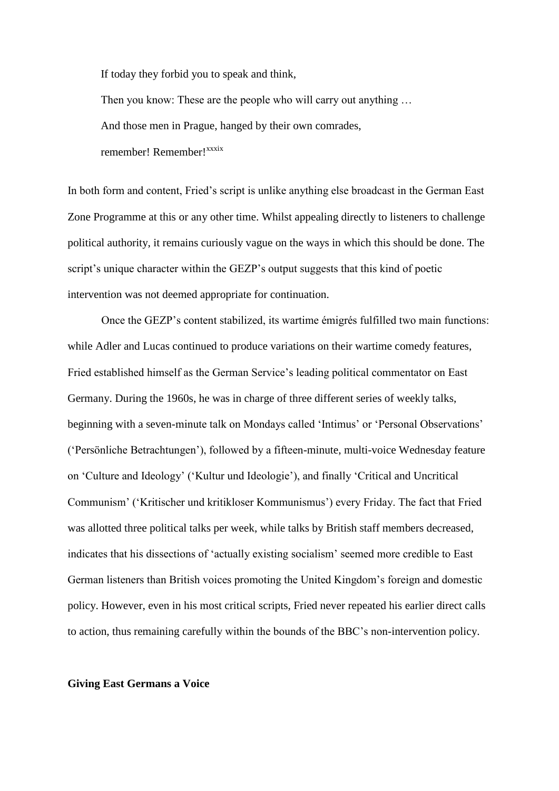If today they forbid you to speak and think,

Then you know: These are the people who will carry out anything ... And those men in Prague, hanged by their own comrades, remember! Remember!<sup>xxxix</sup>

In both form and content, Fried's script is unlike anything else broadcast in the German East Zone Programme at this or any other time. Whilst appealing directly to listeners to challenge political authority, it remains curiously vague on the ways in which this should be done. The script's unique character within the GEZP's output suggests that this kind of poetic intervention was not deemed appropriate for continuation.

Once the GEZP's content stabilized, its wartime émigrés fulfilled two main functions: while Adler and Lucas continued to produce variations on their wartime comedy features, Fried established himself as the German Service's leading political commentator on East Germany. During the 1960s, he was in charge of three different series of weekly talks, beginning with a seven-minute talk on Mondays called 'Intimus' or 'Personal Observations' ('Persönliche Betrachtungen'), followed by a fifteen-minute, multi-voice Wednesday feature on 'Culture and Ideology' ('Kultur und Ideologie'), and finally 'Critical and Uncritical Communism' ('Kritischer und kritikloser Kommunismus') every Friday. The fact that Fried was allotted three political talks per week, while talks by British staff members decreased, indicates that his dissections of 'actually existing socialism' seemed more credible to East German listeners than British voices promoting the United Kingdom's foreign and domestic policy. However, even in his most critical scripts, Fried never repeated his earlier direct calls to action, thus remaining carefully within the bounds of the BBC's non-intervention policy.

## **Giving East Germans a Voice**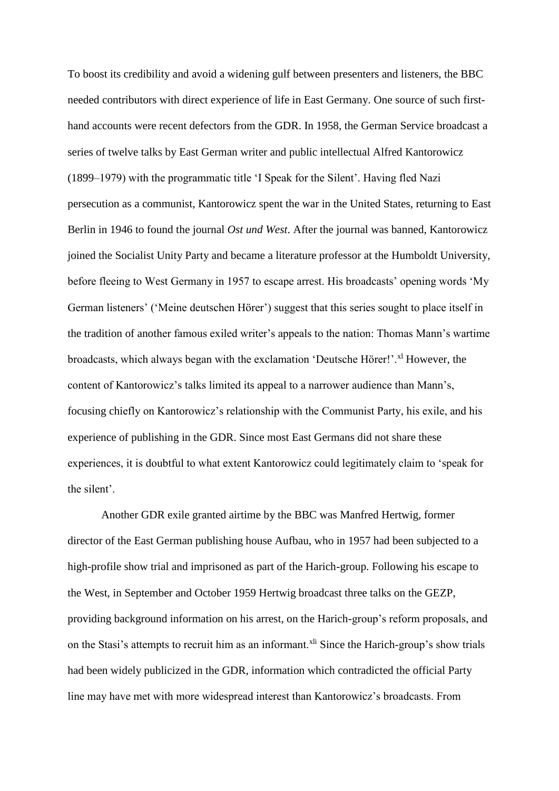To boost its credibility and avoid a widening gulf between presenters and listeners, the BBC needed contributors with direct experience of life in East Germany. One source of such firsthand accounts were recent defectors from the GDR. In 1958, the German Service broadcast a series of twelve talks by East German writer and public intellectual Alfred Kantorowicz (1899–1979) with the programmatic title 'I Speak for the Silent'. Having fled Nazi persecution as a communist, Kantorowicz spent the war in the United States, returning to East Berlin in 1946 to found the journal *Ost und West*. After the journal was banned, Kantorowicz joined the Socialist Unity Party and became a literature professor at the Humboldt University, before fleeing to West Germany in 1957 to escape arrest. His broadcasts' opening words 'My German listeners' ('Meine deutschen Hörer') suggest that this series sought to place itself in the tradition of another famous exiled writer's appeals to the nation: Thomas Mann's wartime broadcasts, which always began with the exclamation 'Deutsche Hörer!'.<sup>xl</sup> However, the content of Kantorowicz's talks limited its appeal to a narrower audience than Mann's, focusing chiefly on Kantorowicz's relationship with the Communist Party, his exile, and his experience of publishing in the GDR. Since most East Germans did not share these experiences, it is doubtful to what extent Kantorowicz could legitimately claim to 'speak for the silent'.

Another GDR exile granted airtime by the BBC was Manfred Hertwig, former director of the East German publishing house Aufbau, who in 1957 had been subjected to a high-profile show trial and imprisoned as part of the Harich-group. Following his escape to the West, in September and October 1959 Hertwig broadcast three talks on the GEZP, providing background information on his arrest, on the Harich-group's reform proposals, and on the Stasi's attempts to recruit him as an informant.<sup>xli</sup> Since the Harich-group's show trials had been widely publicized in the GDR, information which contradicted the official Party line may have met with more widespread interest than Kantorowicz's broadcasts. From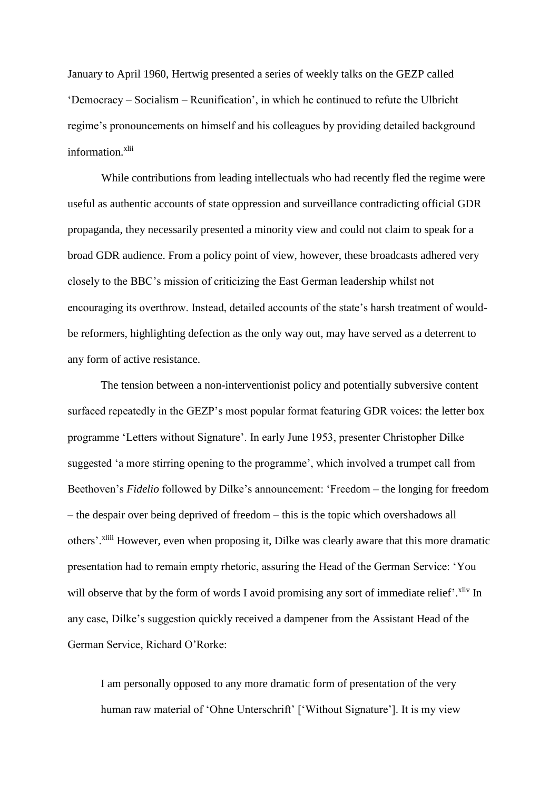January to April 1960, Hertwig presented a series of weekly talks on the GEZP called 'Democracy – Socialism – Reunification', in which he continued to refute the Ulbricht regime's pronouncements on himself and his colleagues by providing detailed background information.<sup>xlii</sup>

While contributions from leading intellectuals who had recently fled the regime were useful as authentic accounts of state oppression and surveillance contradicting official GDR propaganda, they necessarily presented a minority view and could not claim to speak for a broad GDR audience. From a policy point of view, however, these broadcasts adhered very closely to the BBC's mission of criticizing the East German leadership whilst not encouraging its overthrow. Instead, detailed accounts of the state's harsh treatment of wouldbe reformers, highlighting defection as the only way out, may have served as a deterrent to any form of active resistance.

The tension between a non-interventionist policy and potentially subversive content surfaced repeatedly in the GEZP's most popular format featuring GDR voices: the letter box programme 'Letters without Signature'. In early June 1953, presenter Christopher Dilke suggested 'a more stirring opening to the programme', which involved a trumpet call from Beethoven's *Fidelio* followed by Dilke's announcement: 'Freedom – the longing for freedom – the despair over being deprived of freedom – this is the topic which overshadows all others'.<sup>xliii</sup> However, even when proposing it, Dilke was clearly aware that this more dramatic presentation had to remain empty rhetoric, assuring the Head of the German Service: 'You will observe that by the form of words I avoid promising any sort of immediate relief'.<sup>xliv</sup> In any case, Dilke's suggestion quickly received a dampener from the Assistant Head of the German Service, Richard O'Rorke:

I am personally opposed to any more dramatic form of presentation of the very human raw material of 'Ohne Unterschrift' ['Without Signature']. It is my view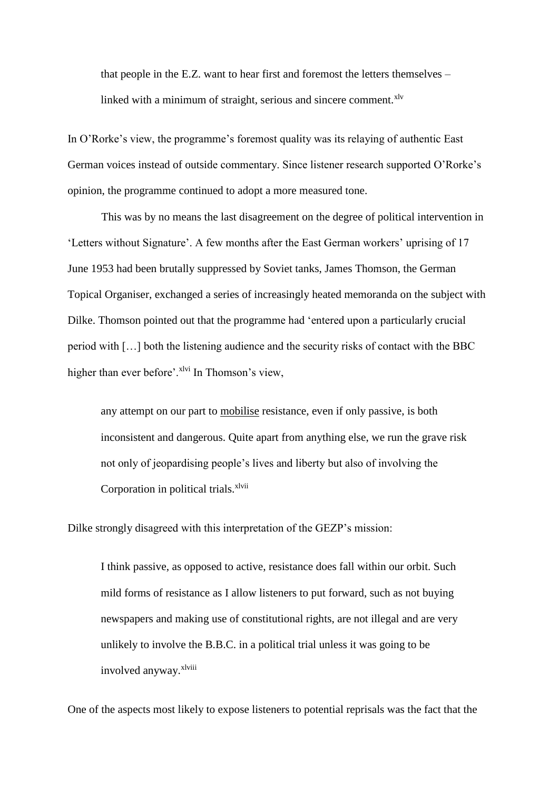that people in the E.Z. want to hear first and foremost the letters themselves – linked with a minimum of straight, serious and sincere comment. $x^{1v}$ 

In O'Rorke's view, the programme's foremost quality was its relaying of authentic East German voices instead of outside commentary. Since listener research supported O'Rorke's opinion, the programme continued to adopt a more measured tone.

This was by no means the last disagreement on the degree of political intervention in 'Letters without Signature'. A few months after the East German workers' uprising of 17 June 1953 had been brutally suppressed by Soviet tanks, James Thomson, the German Topical Organiser, exchanged a series of increasingly heated memoranda on the subject with Dilke. Thomson pointed out that the programme had 'entered upon a particularly crucial period with […] both the listening audience and the security risks of contact with the BBC higher than ever before'.<sup>xlvi</sup> In Thomson's view,

any attempt on our part to mobilise resistance, even if only passive, is both inconsistent and dangerous. Quite apart from anything else, we run the grave risk not only of jeopardising people's lives and liberty but also of involving the Corporation in political trials.<sup>xlvii</sup>

Dilke strongly disagreed with this interpretation of the GEZP's mission:

I think passive, as opposed to active, resistance does fall within our orbit. Such mild forms of resistance as I allow listeners to put forward, such as not buying newspapers and making use of constitutional rights, are not illegal and are very unlikely to involve the B.B.C. in a political trial unless it was going to be involved anyway. Xlviii

One of the aspects most likely to expose listeners to potential reprisals was the fact that the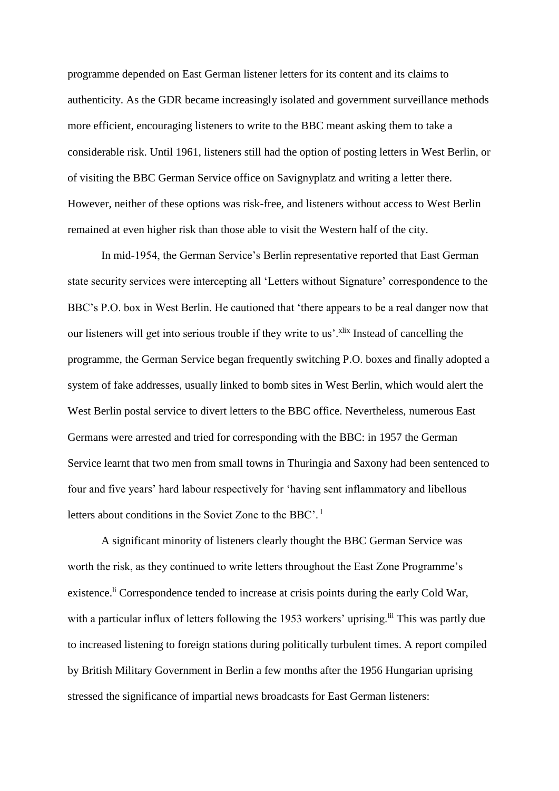programme depended on East German listener letters for its content and its claims to authenticity. As the GDR became increasingly isolated and government surveillance methods more efficient, encouraging listeners to write to the BBC meant asking them to take a considerable risk. Until 1961, listeners still had the option of posting letters in West Berlin, or of visiting the BBC German Service office on Savignyplatz and writing a letter there. However, neither of these options was risk-free, and listeners without access to West Berlin remained at even higher risk than those able to visit the Western half of the city.

In mid-1954, the German Service's Berlin representative reported that East German state security services were intercepting all 'Letters without Signature' correspondence to the BBC's P.O. box in West Berlin. He cautioned that 'there appears to be a real danger now that our listeners will get into serious trouble if they write to us'.<sup>xlix</sup> Instead of cancelling the programme, the German Service began frequently switching P.O. boxes and finally adopted a system of fake addresses, usually linked to bomb sites in West Berlin, which would alert the West Berlin postal service to divert letters to the BBC office. Nevertheless, numerous East Germans were arrested and tried for corresponding with the BBC: in 1957 the German Service learnt that two men from small towns in Thuringia and Saxony had been sentenced to four and five years' hard labour respectively for 'having sent inflammatory and libellous letters about conditions in the Soviet Zone to the BBC'. <sup>l</sup>

A significant minority of listeners clearly thought the BBC German Service was worth the risk, as they continued to write letters throughout the East Zone Programme's existence.<sup>li</sup> Correspondence tended to increase at crisis points during the early Cold War, with a particular influx of letters following the 1953 workers' uprising.<sup>Iii</sup> This was partly due to increased listening to foreign stations during politically turbulent times. A report compiled by British Military Government in Berlin a few months after the 1956 Hungarian uprising stressed the significance of impartial news broadcasts for East German listeners: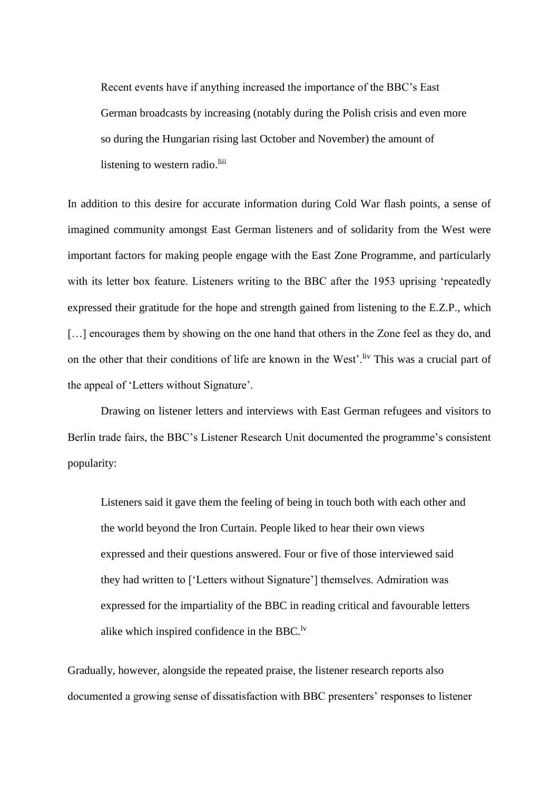Recent events have if anything increased the importance of the BBC's East German broadcasts by increasing (notably during the Polish crisis and even more so during the Hungarian rising last October and November) the amount of listening to western radio.<sup>liii</sup>

In addition to this desire for accurate information during Cold War flash points, a sense of imagined community amongst East German listeners and of solidarity from the West were important factors for making people engage with the East Zone Programme, and particularly with its letter box feature. Listeners writing to the BBC after the 1953 uprising 'repeatedly expressed their gratitude for the hope and strength gained from listening to the E.Z.P., which [...] encourages them by showing on the one hand that others in the Zone feel as they do, and on the other that their conditions of life are known in the West'. Iv This was a crucial part of the appeal of 'Letters without Signature'.

Drawing on listener letters and interviews with East German refugees and visitors to Berlin trade fairs, the BBC's Listener Research Unit documented the programme's consistent popularity:

Listeners said it gave them the feeling of being in touch both with each other and the world beyond the Iron Curtain. People liked to hear their own views expressed and their questions answered. Four or five of those interviewed said they had written to ['Letters without Signature'] themselves. Admiration was expressed for the impartiality of the BBC in reading critical and favourable letters alike which inspired confidence in the BBC.<sup>lv</sup>

Gradually, however, alongside the repeated praise, the listener research reports also documented a growing sense of dissatisfaction with BBC presenters' responses to listener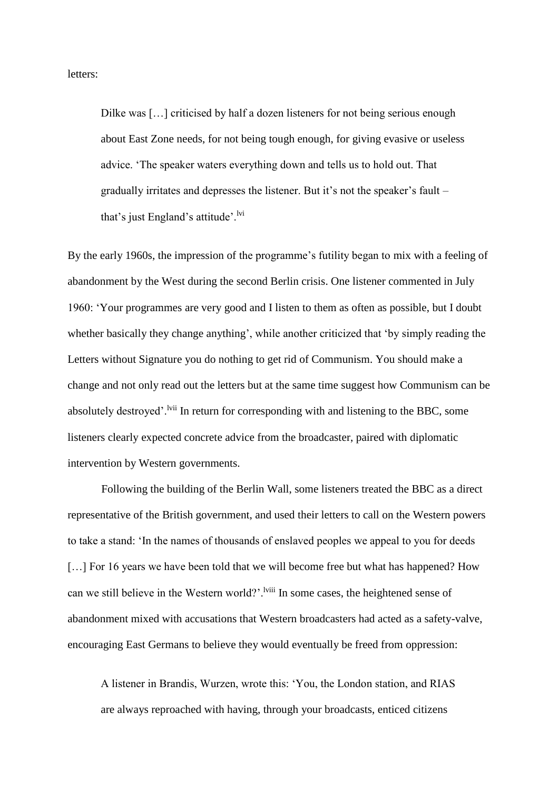letters:

Dilke was [...] criticised by half a dozen listeners for not being serious enough about East Zone needs, for not being tough enough, for giving evasive or useless advice. 'The speaker waters everything down and tells us to hold out. That gradually irritates and depresses the listener. But it's not the speaker's fault – that's just England's attitude'. $\frac{1}{1}$ <sup>lvi</sup>

By the early 1960s, the impression of the programme's futility began to mix with a feeling of abandonment by the West during the second Berlin crisis. One listener commented in July 1960: 'Your programmes are very good and I listen to them as often as possible, but I doubt whether basically they change anything', while another criticized that 'by simply reading the Letters without Signature you do nothing to get rid of Communism. You should make a change and not only read out the letters but at the same time suggest how Communism can be absolutely destroyed'. <sup>Ivii</sup> In return for corresponding with and listening to the BBC, some listeners clearly expected concrete advice from the broadcaster, paired with diplomatic intervention by Western governments.

Following the building of the Berlin Wall, some listeners treated the BBC as a direct representative of the British government, and used their letters to call on the Western powers to take a stand: 'In the names of thousands of enslaved peoples we appeal to you for deeds [...] For 16 years we have been told that we will become free but what has happened? How can we still believe in the Western world?'.<sup>Iviii</sup> In some cases, the heightened sense of abandonment mixed with accusations that Western broadcasters had acted as a safety-valve, encouraging East Germans to believe they would eventually be freed from oppression:

A listener in Brandis, Wurzen, wrote this: 'You, the London station, and RIAS are always reproached with having, through your broadcasts, enticed citizens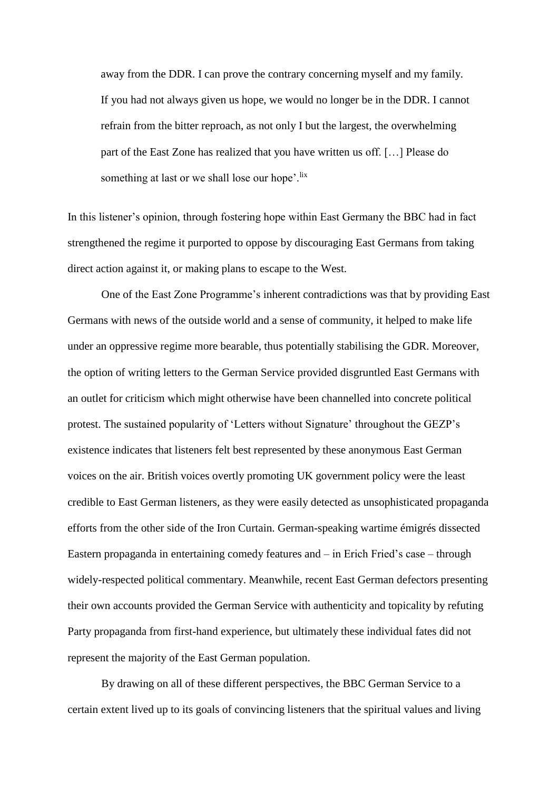away from the DDR. I can prove the contrary concerning myself and my family. If you had not always given us hope, we would no longer be in the DDR. I cannot refrain from the bitter reproach, as not only I but the largest, the overwhelming part of the East Zone has realized that you have written us off. […] Please do something at last or we shall lose our hope'.<sup>lix</sup>

In this listener's opinion, through fostering hope within East Germany the BBC had in fact strengthened the regime it purported to oppose by discouraging East Germans from taking direct action against it, or making plans to escape to the West.

One of the East Zone Programme's inherent contradictions was that by providing East Germans with news of the outside world and a sense of community, it helped to make life under an oppressive regime more bearable, thus potentially stabilising the GDR. Moreover, the option of writing letters to the German Service provided disgruntled East Germans with an outlet for criticism which might otherwise have been channelled into concrete political protest. The sustained popularity of 'Letters without Signature' throughout the GEZP's existence indicates that listeners felt best represented by these anonymous East German voices on the air. British voices overtly promoting UK government policy were the least credible to East German listeners, as they were easily detected as unsophisticated propaganda efforts from the other side of the Iron Curtain. German-speaking wartime émigrés dissected Eastern propaganda in entertaining comedy features and – in Erich Fried's case – through widely-respected political commentary. Meanwhile, recent East German defectors presenting their own accounts provided the German Service with authenticity and topicality by refuting Party propaganda from first-hand experience, but ultimately these individual fates did not represent the majority of the East German population.

By drawing on all of these different perspectives, the BBC German Service to a certain extent lived up to its goals of convincing listeners that the spiritual values and living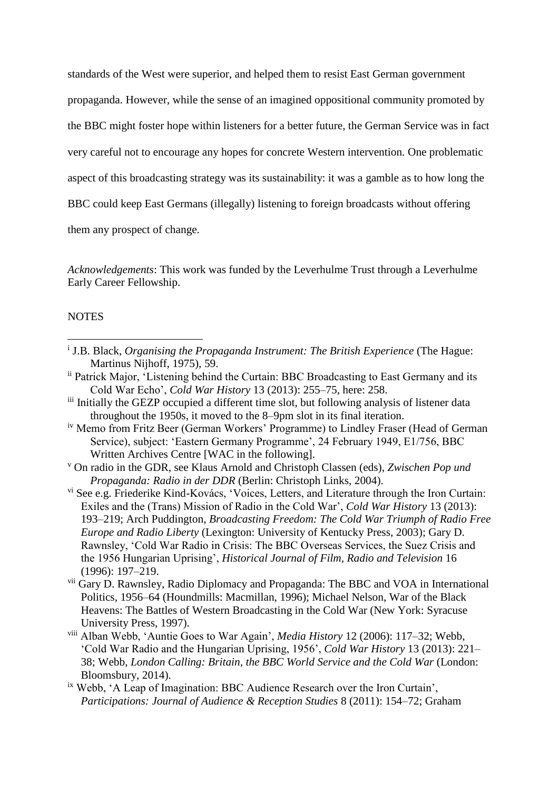standards of the West were superior, and helped them to resist East German government propaganda. However, while the sense of an imagined oppositional community promoted by the BBC might foster hope within listeners for a better future, the German Service was in fact very careful not to encourage any hopes for concrete Western intervention. One problematic aspect of this broadcasting strategy was its sustainability: it was a gamble as to how long the BBC could keep East Germans (illegally) listening to foreign broadcasts without offering them any prospect of change.

*Acknowledgements*: This work was funded by the Leverhulme Trust through a Leverhulme Early Career Fellowship.

### NOTES

1

- <sup>i</sup> J.B. Black, *Organising the Propaganda Instrument: The British Experience* (The Hague: Martinus Nijhoff, 1975), 59.
- ii Patrick Major, 'Listening behind the Curtain: BBC Broadcasting to East Germany and its Cold War Echo', *Cold War History* 13 (2013): 255–75, here: 258.
- iii Initially the GEZP occupied a different time slot, but following analysis of listener data throughout the 1950s, it moved to the 8–9pm slot in its final iteration.
- iv Memo from Fritz Beer (German Workers' Programme) to Lindley Fraser (Head of German Service), subject: 'Eastern Germany Programme', 24 February 1949, E1/756, BBC Written Archives Centre [WAC in the following].
- <sup>v</sup> On radio in the GDR, see Klaus Arnold and Christoph Classen (eds), *Zwischen Pop und Propaganda: Radio in der DDR* (Berlin: Christoph Links, 2004).
- vi See e.g. Friederike Kind-Kovács, 'Voices, Letters, and Literature through the Iron Curtain: Exiles and the (Trans) Mission of Radio in the Cold War', *Cold War History* 13 (2013): 193–219; Arch Puddington, *Broadcasting Freedom: The Cold War Triumph of Radio Free Europe and Radio Liberty* (Lexington: University of Kentucky Press, 2003); Gary D. Rawnsley, 'Cold War Radio in Crisis: The BBC Overseas Services, the Suez Crisis and the 1956 Hungarian Uprising', *Historical Journal of Film, Radio and Television* 16 (1996): 197–219.
- vii Gary D. Rawnsley, Radio Diplomacy and Propaganda: The BBC and VOA in International Politics, 1956–64 (Houndmills: Macmillan, 1996); Michael Nelson, War of the Black Heavens: The Battles of Western Broadcasting in the Cold War (New York: Syracuse University Press, 1997).
- viii Alban Webb, 'Auntie Goes to War Again', *Media History* 12 (2006): 117–32; Webb, 'Cold War Radio and the Hungarian Uprising, 1956', *Cold War History* 13 (2013): 221– 38; Webb, *London Calling: Britain, the BBC World Service and the Cold War* (London: Bloomsbury, 2014).
- ix Webb, 'A Leap of Imagination: BBC Audience Research over the Iron Curtain', *Participations: Journal of Audience & Reception Studies* 8 (2011): 154–72; Graham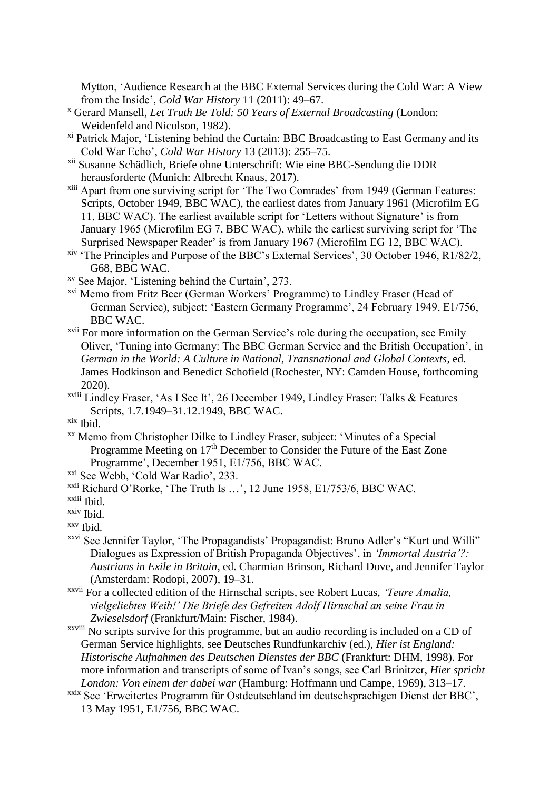Mytton, 'Audience Research at the BBC External Services during the Cold War: A View from the Inside', *Cold War History* 11 (2011): 49–67.

- <sup>x</sup> Gerard Mansell, *Let Truth Be Told: 50 Years of External Broadcasting* (London: Weidenfeld and Nicolson, 1982).
- xi Patrick Major, 'Listening behind the Curtain: BBC Broadcasting to East Germany and its Cold War Echo', *Cold War History* 13 (2013): 255–75.
- xii Susanne Schädlich, Briefe ohne Unterschrift: Wie eine BBC-Sendung die DDR herausforderte (Munich: Albrecht Knaus, 2017).
- xiii Apart from one surviving script for 'The Two Comrades' from 1949 (German Features: Scripts, October 1949, BBC WAC), the earliest dates from January 1961 (Microfilm EG 11, BBC WAC). The earliest available script for 'Letters without Signature' is from January 1965 (Microfilm EG 7, BBC WAC), while the earliest surviving script for 'The Surprised Newspaper Reader' is from January 1967 (Microfilm EG 12, BBC WAC).
- xiv 'The Principles and Purpose of the BBC's External Services', 30 October 1946, R1/82/2, G68, BBC WAC.

xv See Major, 'Listening behind the Curtain', 273.

- xvi Memo from Fritz Beer (German Workers' Programme) to Lindley Fraser (Head of German Service), subject: 'Eastern Germany Programme', 24 February 1949, E1/756, BBC WAC.
- xvii For more information on the German Service's role during the occupation, see Emily Oliver, 'Tuning into Germany: The BBC German Service and the British Occupation', in *German in the World: A Culture in National, Transnational and Global Contexts*, ed. James Hodkinson and Benedict Schofield (Rochester, NY: Camden House, forthcoming 2020).

xviii Lindley Fraser, 'As I See It', 26 December 1949, Lindley Fraser: Talks & Features Scripts, 1.7.1949–31.12.1949, BBC WAC.

1

- xx Memo from Christopher Dilke to Lindley Fraser, subject: 'Minutes of a Special Programme Meeting on 17<sup>th</sup> December to Consider the Future of the East Zone Programme', December 1951, E1/756, BBC WAC.
- xxi See Webb, 'Cold War Radio', 233.

- xxvi See Jennifer Taylor, 'The Propagandists' Propagandist: Bruno Adler's "Kurt und Willi" Dialogues as Expression of British Propaganda Objectives', in *'Immortal Austria'?: Austrians in Exile in Britain*, ed. Charmian Brinson, Richard Dove, and Jennifer Taylor (Amsterdam: Rodopi, 2007), 19–31.
- xxvii For a collected edition of the Hirnschal scripts, see Robert Lucas, *'Teure Amalia, vielgeliebtes Weib!' Die Briefe des Gefreiten Adolf Hirnschal an seine Frau in Zwieselsdorf* (Frankfurt/Main: Fischer, 1984).
- xxviii No scripts survive for this programme, but an audio recording is included on a CD of German Service highlights, see Deutsches Rundfunkarchiv (ed.), *Hier ist England: Historische Aufnahmen des Deutschen Dienstes der BBC* (Frankfurt: DHM, 1998). For more information and transcripts of some of Ivan's songs, see Carl Brinitzer, *Hier spricht London: Von einem der dabei war* (Hamburg: Hoffmann und Campe, 1969), 313–17.
- xxix See 'Erweitertes Programm für Ostdeutschland im deutschsprachigen Dienst der BBC', 13 May 1951, E1/756, BBC WAC.

xix Ibid.

xxii Richard O'Rorke, 'The Truth Is …', 12 June 1958, E1/753/6, BBC WAC. xxiii Ibid.

xxiv Ibid.

xxv Ibid.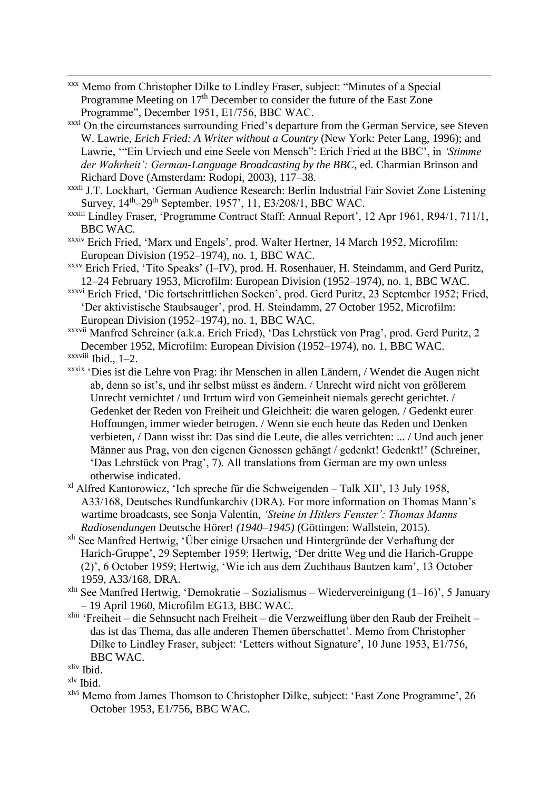- 1 xxx Memo from Christopher Dilke to Lindley Fraser, subject: "Minutes of a Special Programme Meeting on  $17<sup>th</sup>$  December to consider the future of the East Zone Programme", December 1951, E1/756, BBC WAC.
- xxxi On the circumstances surrounding Fried's departure from the German Service, see Steven W. Lawrie, *Erich Fried: A Writer without a Country* (New York: Peter Lang, 1996); and Lawrie, '"Ein Urviech und eine Seele von Mensch": Erich Fried at the BBC', in *'Stimme der Wahrheit': German-Language Broadcasting by the BBC*, ed. Charmian Brinson and Richard Dove (Amsterdam: Rodopi, 2003), 117–38.
- xxxii J.T. Lockhart, 'German Audience Research: Berlin Industrial Fair Soviet Zone Listening Survey,  $14<sup>th</sup>-29<sup>th</sup>$  September, 1957', 11, E3/208/1, BBC WAC.
- xxxiii Lindley Fraser, 'Programme Contract Staff: Annual Report', 12 Apr 1961, R94/1, 711/1, BBC WAC.
- xxxiv Erich Fried, 'Marx und Engels', prod. Walter Hertner, 14 March 1952, Microfilm: European Division (1952–1974), no. 1, BBC WAC.
- xxxv Erich Fried, 'Tito Speaks' (I–IV), prod. H. Rosenhauer, H. Steindamm, and Gerd Puritz, 12–24 February 1953, Microfilm: European Division (1952–1974), no. 1, BBC WAC.
- xxxvi Erich Fried, 'Die fortschrittlichen Socken', prod. Gerd Puritz, 23 September 1952; Fried, 'Der aktivistische Staubsauger', prod. H. Steindamm, 27 October 1952, Microfilm: European Division (1952–1974), no. 1, BBC WAC.
- xxxvii Manfred Schreiner (a.k.a. Erich Fried), 'Das Lehrstück von Prag', prod. Gerd Puritz, 2 December 1952, Microfilm: European Division (1952–1974), no. 1, BBC WAC. xxxviii Ibid., 1–2.
- xxxix 'Dies ist die Lehre von Prag: ihr Menschen in allen Ländern, / Wendet die Augen nicht ab, denn so ist's, und ihr selbst müsst es ändern. / Unrecht wird nicht von größerem Unrecht vernichtet / und Irrtum wird von Gemeinheit niemals gerecht gerichtet. / Gedenket der Reden von Freiheit und Gleichheit: die waren gelogen. / Gedenkt eurer Hoffnungen, immer wieder betrogen. / Wenn sie euch heute das Reden und Denken verbieten, / Dann wisst ihr: Das sind die Leute, die alles verrichten: ... / Und auch jener Männer aus Prag, von den eigenen Genossen gehängt / gedenkt! Gedenkt!' (Schreiner, 'Das Lehrstück von Prag', 7). All translations from German are my own unless otherwise indicated.
- xl Alfred Kantorowicz, 'Ich spreche für die Schweigenden Talk XII', 13 July 1958, A33/168, Deutsches Rundfunkarchiv (DRA). For more information on Thomas Mann's wartime broadcasts, see Sonja Valentin, *'Steine in Hitlers Fenster': Thomas Manns Radiosendungen* Deutsche Hörer! *(1940–1945)* (Göttingen: Wallstein, 2015).
- xli See Manfred Hertwig, 'Über einige Ursachen und Hintergründe der Verhaftung der Harich-Gruppe', 29 September 1959; Hertwig, 'Der dritte Weg und die Harich-Gruppe (2)', 6 October 1959; Hertwig, 'Wie ich aus dem Zuchthaus Bautzen kam', 13 October 1959, A33/168, DRA.
- <sup>xlii</sup> See Manfred Hertwig, 'Demokratie Sozialismus Wiedervereinigung  $(1-16)$ ', 5 January – 19 April 1960, Microfilm EG13, BBC WAC.
- xliii 'Freiheit die Sehnsucht nach Freiheit die Verzweiflung über den Raub der Freiheit das ist das Thema, das alle anderen Themen überschattet'. Memo from Christopher Dilke to Lindley Fraser, subject: 'Letters without Signature', 10 June 1953, E1/756, BBC WAC.

xlvi Memo from James Thomson to Christopher Dilke, subject: 'East Zone Programme', 26 October 1953, E1/756, BBC WAC.

xliv Ibid.

xlv Ibid.